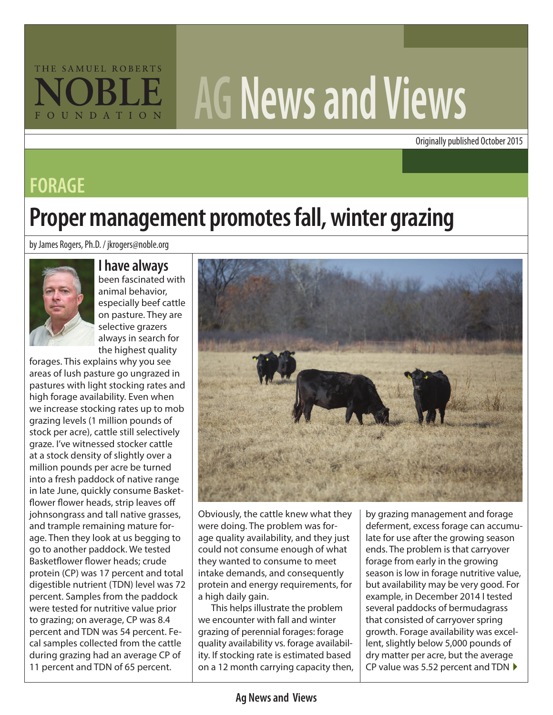# THE SAMUEL ROBERTS FOUNDATION

# **AG News and Views**

Originally published October 2015

### **FORAGE**

## **Proper management promotes fall, winter grazing**

by James Rogers, Ph.D. / jkrogers@noble.org



#### **I have always**

been fascinated with animal behavior, especially beef cattle on pasture. They are selective grazers always in search for the highest quality

forages. This explains why you see areas of lush pasture go ungrazed in pastures with light stocking rates and high forage availability. Even when we increase stocking rates up to mob grazing levels (1 million pounds of stock per acre), cattle still selectively graze. I've witnessed stocker cattle at a stock density of slightly over a million pounds per acre be turned into a fresh paddock of native range in late June, quickly consume Basketflower flower heads, strip leaves off johnsongrass and tall native grasses, and trample remaining mature forage. Then they look at us begging to go to another paddock. We tested Basketflower flower heads; crude protein (CP) was 17 percent and total digestible nutrient (TDN) level was 72 percent. Samples from the paddock were tested for nutritive value prior to grazing; on average, CP was 8.4 percent and TDN was 54 percent. Fecal samples collected from the cattle during grazing had an average CP of 11 percent and TDN of 65 percent.



Obviously, the cattle knew what they were doing. The problem was forage quality availability, and they just could not consume enough of what they wanted to consume to meet intake demands, and consequently protein and energy requirements, for a high daily gain.

This helps illustrate the problem we encounter with fall and winter grazing of perennial forages: forage quality availability vs. forage availability. If stocking rate is estimated based on a 12 month carrying capacity then,

by grazing management and forage deferment, excess forage can accumulate for use after the growing season ends. The problem is that carryover forage from early in the growing season is low in forage nutritive value, but availability may be very good. For example, in December 2014 I tested several paddocks of bermudagrass that consisted of carryover spring growth. Forage availability was excellent, slightly below 5,000 pounds of dry matter per acre, but the average CP value was 5.52 percent and TDN  $\blacktriangleright$